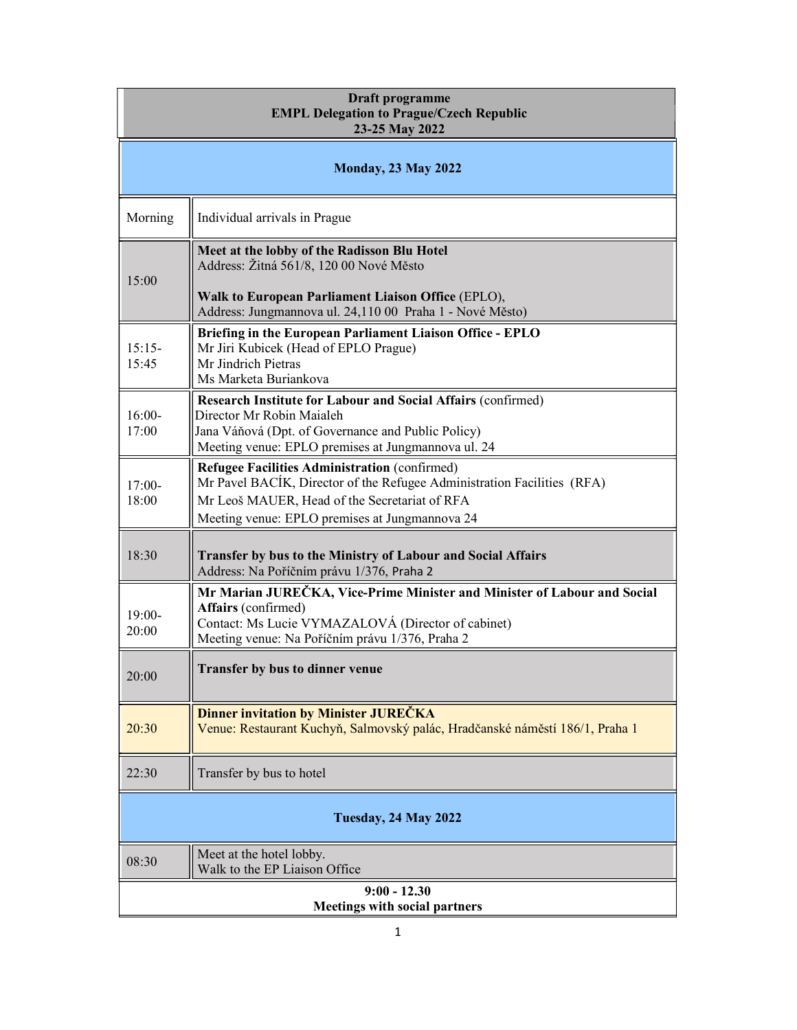| Draft programme<br><b>EMPL Delegation to Prague/Czech Republic</b><br>23-25 May 2022 |                                                                                                                                                                                                                             |  |
|--------------------------------------------------------------------------------------|-----------------------------------------------------------------------------------------------------------------------------------------------------------------------------------------------------------------------------|--|
| <b>Monday, 23 May 2022</b>                                                           |                                                                                                                                                                                                                             |  |
| Morning                                                                              | Individual arrivals in Prague                                                                                                                                                                                               |  |
| 15:00                                                                                | Meet at the lobby of the Radisson Blu Hotel<br>Address: Žitná 561/8, 120 00 Nové Město<br>Walk to European Parliament Liaison Office (EPLO),<br>Address: Jungmannova ul. 24,110 00 Praha 1 - Nové Město)                    |  |
| $15:15-$<br>15:45                                                                    | Briefing in the European Parliament Liaison Office - EPLO<br>Mr Jiri Kubicek (Head of EPLO Prague)<br>Mr Jindrich Pietras<br>Ms Marketa Buriankova                                                                          |  |
| $16:00-$<br>17:00                                                                    | Research Institute for Labour and Social Affairs (confirmed)<br>Director Mr Robin Maialeh<br>Jana Váňová (Dpt. of Governance and Public Policy)<br>Meeting venue: EPLO premises at Jungmannova ul. 24                       |  |
| $17:00-$<br>18:00                                                                    | Refugee Facilities Administration (confirmed)<br>Mr Pavel BACIK, Director of the Refugee Administration Facilities (RFA)<br>Mr Leoš MAUER, Head of the Secretariat of RFA<br>Meeting venue: EPLO premises at Jungmannova 24 |  |
| 18:30                                                                                | Transfer by bus to the Ministry of Labour and Social Affairs<br>Address: Na Poříčním právu 1/376, Praha 2                                                                                                                   |  |
| $19:00-$<br>20:00                                                                    | Mr Marian JUREČKA, Vice-Prime Minister and Minister of Labour and Social<br>Affairs (confirmed)<br>Contact: Ms Lucie VYMAZALOVÁ (Director of cabinet)<br>Meeting venue: Na Poříčním právu 1/376, Praha 2                    |  |
| 20:00                                                                                | <b>Transfer by bus to dinner venue</b>                                                                                                                                                                                      |  |
| 20:30                                                                                | <b>Dinner invitation by Minister JUREČKA</b><br>Venue: Restaurant Kuchyň, Salmovský palác, Hradčanské náměstí 186/1, Praha 1                                                                                                |  |
| 22:30                                                                                | Transfer by bus to hotel                                                                                                                                                                                                    |  |
| <b>Tuesday, 24 May 2022</b>                                                          |                                                                                                                                                                                                                             |  |
| 08:30                                                                                | Meet at the hotel lobby.<br>Walk to the EP Liaison Office                                                                                                                                                                   |  |
| $9:00 - 12.30$<br><b>Meetings with social partners</b>                               |                                                                                                                                                                                                                             |  |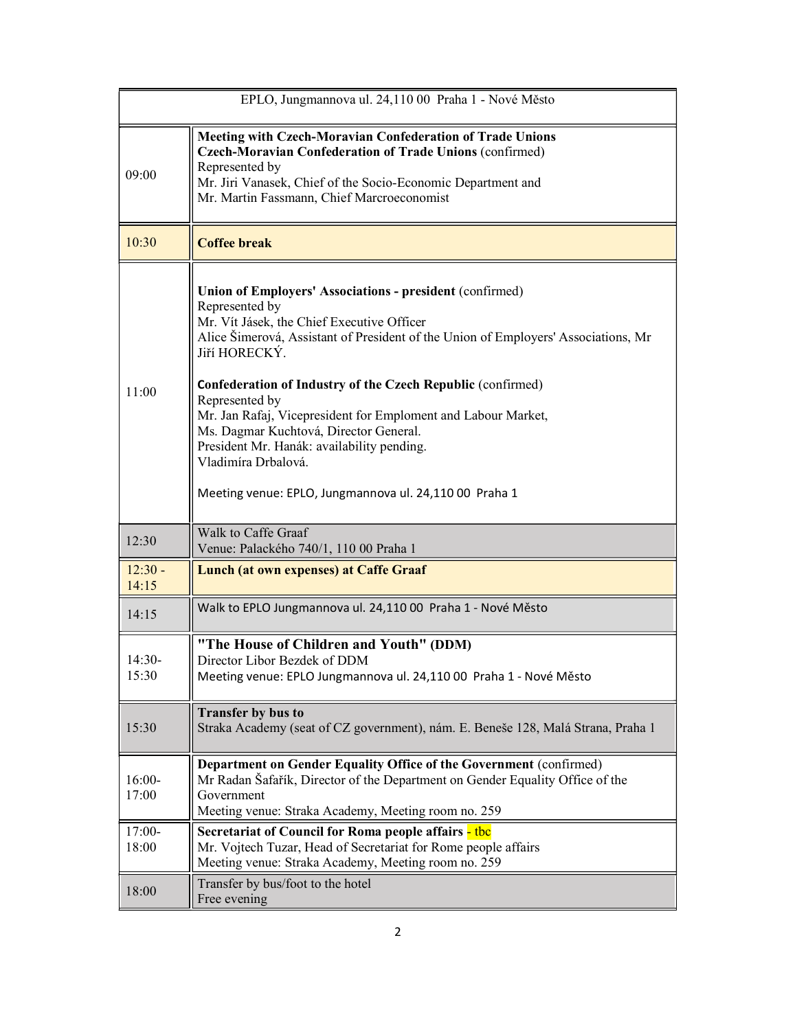| EPLO, Jungmannova ul. 24,110 00 Praha 1 - Nové Město |                                                                                                                                                                                                                                                                                                                                                                                                                                                                                                                                                                          |  |
|------------------------------------------------------|--------------------------------------------------------------------------------------------------------------------------------------------------------------------------------------------------------------------------------------------------------------------------------------------------------------------------------------------------------------------------------------------------------------------------------------------------------------------------------------------------------------------------------------------------------------------------|--|
| 09:00                                                | <b>Meeting with Czech-Moravian Confederation of Trade Unions</b><br>Czech-Moravian Confederation of Trade Unions (confirmed)<br>Represented by<br>Mr. Jiri Vanasek, Chief of the Socio-Economic Department and<br>Mr. Martin Fassmann, Chief Marcroeconomist                                                                                                                                                                                                                                                                                                             |  |
| 10:30                                                | <b>Coffee break</b>                                                                                                                                                                                                                                                                                                                                                                                                                                                                                                                                                      |  |
| 11:00                                                | <b>Union of Employers' Associations - president (confirmed)</b><br>Represented by<br>Mr. Vít Jásek, the Chief Executive Officer<br>Alice Šimerová, Assistant of President of the Union of Employers' Associations, Mr<br>Jiří HORECKÝ.<br><b>Confederation of Industry of the Czech Republic (confirmed)</b><br>Represented by<br>Mr. Jan Rafaj, Vicepresident for Emploment and Labour Market,<br>Ms. Dagmar Kuchtová, Director General.<br>President Mr. Hanák: availability pending.<br>Vladimíra Drbalová.<br>Meeting venue: EPLO, Jungmannova ul. 24,110 00 Praha 1 |  |
| 12:30                                                | Walk to Caffe Graaf<br>Venue: Palackého 740/1, 110 00 Praha 1                                                                                                                                                                                                                                                                                                                                                                                                                                                                                                            |  |
| $12:30 -$<br>14:15                                   | <b>Lunch (at own expenses) at Caffe Graaf</b>                                                                                                                                                                                                                                                                                                                                                                                                                                                                                                                            |  |
| 14:15                                                | Walk to EPLO Jungmannova ul. 24,110 00 Praha 1 - Nové Město                                                                                                                                                                                                                                                                                                                                                                                                                                                                                                              |  |
| $14:30-$<br>15:30                                    | "The House of Children and Youth" (DDM)<br>Director Libor Bezdek of DDM<br>Meeting venue: EPLO Jungmannova ul. 24,110 00 Praha 1 - Nové Město                                                                                                                                                                                                                                                                                                                                                                                                                            |  |
| 15:30                                                | <b>Transfer by bus to</b><br>Straka Academy (seat of CZ government), nám. E. Beneše 128, Malá Strana, Praha 1                                                                                                                                                                                                                                                                                                                                                                                                                                                            |  |
| $16:00-$<br>17:00                                    | Department on Gender Equality Office of the Government (confirmed)<br>Mr Radan Šafařík, Director of the Department on Gender Equality Office of the<br>Government<br>Meeting venue: Straka Academy, Meeting room no. 259                                                                                                                                                                                                                                                                                                                                                 |  |
| $17:00-$<br>18:00                                    | Secretariat of Council for Roma people affairs - tbc<br>Mr. Vojtech Tuzar, Head of Secretariat for Rome people affairs<br>Meeting venue: Straka Academy, Meeting room no. 259                                                                                                                                                                                                                                                                                                                                                                                            |  |
| 18:00                                                | Transfer by bus/foot to the hotel<br>Free evening                                                                                                                                                                                                                                                                                                                                                                                                                                                                                                                        |  |